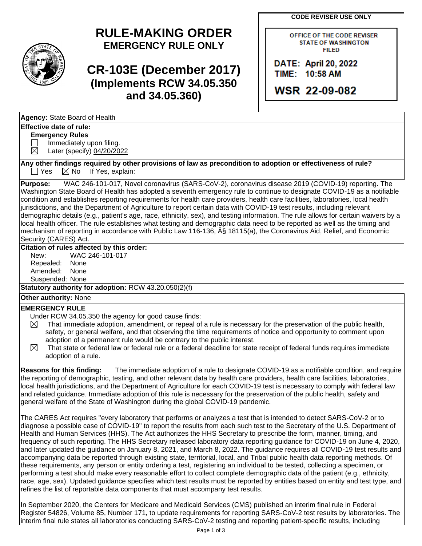**CODE REVISER USE ONLY**

# **RULE-MAKING ORDER EMERGENCY RULE ONLY**

**CR-103E (December 2017) (Implements RCW 34.05.350 and 34.05.360)**

OFFICE OF THE CODE REVISER **STATE OF WASHINGTON FILED** 

DATE: April 20, 2022 TIME: 10:58 AM

**WSR 22-09-082** 

|--|

## **Effective date of rule:**

**Emergency Rules**

 $\Box$  Immediately upon filing.  $\boxtimes$  Later (specify) 04/20/2022

**Any other findings required by other provisions of law as precondition to adoption or effectiveness of rule?**  $\Box$  Yes  $\Box$  No If Yes, explain:

**Purpose:** WAC 246-101-017, Novel coronavirus (SARS-CoV-2), coronavirus disease 2019 (COVID-19) reporting. The Washington State Board of Health has adopted a seventh emergency rule to continue to designate COVID-19 as a notifiable condition and establishes reporting requirements for health care providers, health care facilities, laboratories, local health jurisdictions, and the Department of Agriculture to report certain data with COVID-19 test results, including relevant demographic details (e.g., patient's age, race, ethnicity, sex), and testing information. The rule allows for certain waivers by a local health officer. The rule establishes what testing and demographic data need to be reported as well as the timing and mechanism of reporting in accordance with Public Law 116-136, § 18115(a), the Coronavirus Aid, Relief, and Economic Security (CARES) Act.

### **Citation of rules affected by this order:**

New: WAC 246-101-017 Repealed: None Amended: None Suspended: None

**Statutory authority for adoption:** RCW 43.20.050(2)(f)

**Other authority:** None

#### **EMERGENCY RULE**

- Under RCW 34.05.350 the agency for good cause finds:
- $\boxtimes$  That immediate adoption, amendment, or repeal of a rule is necessary for the preservation of the public health, safety, or general welfare, and that observing the time requirements of notice and opportunity to comment upon adoption of a permanent rule would be contrary to the public interest.
- $\boxtimes$  That state or federal law or federal rule or a federal deadline for state receipt of federal funds requires immediate adoption of a rule.

**Reasons for this finding:** The immediate adoption of a rule to designate COVID-19 as a notifiable condition, and require the reporting of demographic, testing, and other relevant data by health care providers, health care facilities, laboratories, local health jurisdictions, and the Department of Agriculture for each COVID-19 test is necessary to comply with federal law and related guidance. Immediate adoption of this rule is necessary for the preservation of the public health, safety and general welfare of the State of Washington during the global COVID-19 pandemic.

The CARES Act requires "every laboratory that performs or analyzes a test that is intended to detect SARS-CoV-2 or to diagnose a possible case of COVID-19" to report the results from each such test to the Secretary of the U.S. Department of Health and Human Services (HHS). The Act authorizes the HHS Secretary to prescribe the form, manner, timing, and frequency of such reporting. The HHS Secretary released laboratory data reporting guidance for COVID-19 on June 4, 2020, and later updated the guidance on January 8, 2021, and March 8, 2022. The guidance requires all COVID-19 test results and accompanying data be reported through existing state, territorial, local, and Tribal public health data reporting methods. Of these requirements, any person or entity ordering a test, registering an individual to be tested, collecting a specimen, or performing a test should make every reasonable effort to collect complete demographic data of the patient (e.g., ethnicity, race, age, sex). Updated guidance specifies which test results must be reported by entities based on entity and test type, and refines the list of reportable data components that must accompany test results.

In September 2020, the Centers for Medicare and Medicaid Services (CMS) published an interim final rule in Federal Register 54826, Volume 85, Number 171, to update requirements for reporting SARS-CoV-2 test results by laboratories. The interim final rule states all laboratories conducting SARS-CoV-2 testing and reporting patient-specific results, including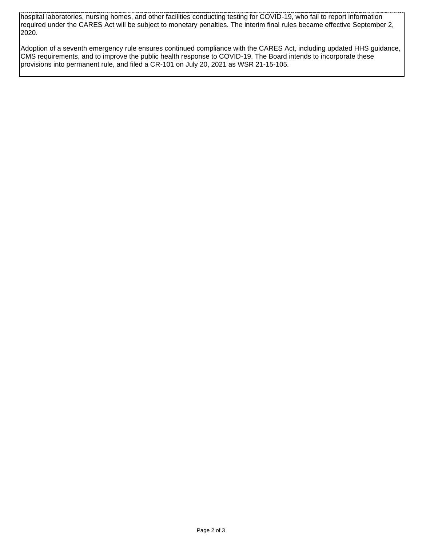hospital laboratories, nursing homes, and other facilities conducting testing for COVID-19, who fail to report information required under the CARES Act will be subject to monetary penalties. The interim final rules became effective September 2, 2020.

Adoption of a seventh emergency rule ensures continued compliance with the CARES Act, including updated HHS guidance, CMS requirements, and to improve the public health response to COVID-19. The Board intends to incorporate these provisions into permanent rule, and filed a CR-101 on July 20, 2021 as WSR 21-15-105.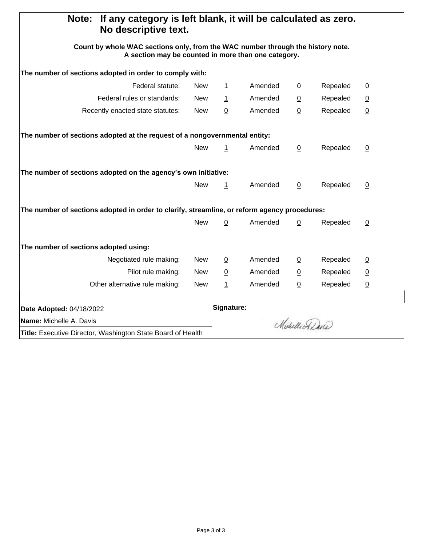| If any category is left blank, it will be calculated as zero.<br>Note:<br>No descriptive text.                                         |            |                 |                 |                 |          |                 |  |
|----------------------------------------------------------------------------------------------------------------------------------------|------------|-----------------|-----------------|-----------------|----------|-----------------|--|
| Count by whole WAC sections only, from the WAC number through the history note.<br>A section may be counted in more than one category. |            |                 |                 |                 |          |                 |  |
| The number of sections adopted in order to comply with:                                                                                |            |                 |                 |                 |          |                 |  |
| Federal statute:                                                                                                                       | <b>New</b> | $\mathbf{1}$    | Amended         | $\overline{0}$  | Repealed | $\overline{0}$  |  |
| Federal rules or standards:                                                                                                            | New        | $\overline{1}$  | Amended         | $\overline{0}$  | Repealed | $\underline{0}$ |  |
| Recently enacted state statutes:                                                                                                       | <b>New</b> | 0               | Amended         | $\underline{0}$ | Repealed | $\underline{0}$ |  |
| The number of sections adopted at the request of a nongovernmental entity:                                                             |            |                 |                 |                 |          |                 |  |
|                                                                                                                                        | <b>New</b> | 1               | Amended         | $\overline{0}$  | Repealed | $\overline{0}$  |  |
| The number of sections adopted on the agency's own initiative:                                                                         |            |                 |                 |                 |          |                 |  |
|                                                                                                                                        | <b>New</b> | $\overline{1}$  | Amended         | $\overline{0}$  | Repealed | $\underline{0}$ |  |
| The number of sections adopted in order to clarify, streamline, or reform agency procedures:                                           |            |                 |                 |                 |          |                 |  |
|                                                                                                                                        | <b>New</b> | $\pmb{0}$       | Amended         | $\underline{0}$ | Repealed | $\overline{0}$  |  |
| The number of sections adopted using:                                                                                                  |            |                 |                 |                 |          |                 |  |
| Negotiated rule making:                                                                                                                | <b>New</b> | $\overline{0}$  | Amended         | $\overline{0}$  | Repealed | $\overline{0}$  |  |
| Pilot rule making:                                                                                                                     | <b>New</b> | $\underline{0}$ | Amended         | $\underline{0}$ | Repealed | $\overline{0}$  |  |
| Other alternative rule making:                                                                                                         | <b>New</b> | $\overline{1}$  | Amended         | $\underline{0}$ | Repealed | $\underline{0}$ |  |
| Date Adopted: 04/18/2022                                                                                                               |            |                 | Signature:      |                 |          |                 |  |
| <b>Name:</b> Michelle A. Davis                                                                                                         |            |                 | Michelle Adavis |                 |          |                 |  |
| Title: Executive Director, Washington State Board of Health                                                                            |            |                 |                 |                 |          |                 |  |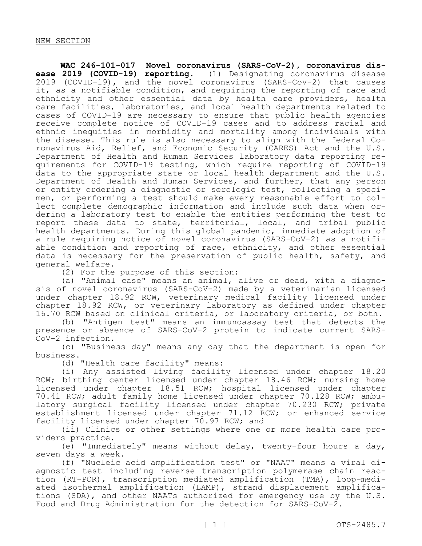**WAC 246-101-017 Novel coronavirus (SARS-CoV-2), coronavirus disease 2019 (COVID-19) reporting.** (1) Designating coronavirus disease 2019 (COVID-19), and the novel coronavirus (SARS-CoV-2) that causes it, as a notifiable condition, and requiring the reporting of race and ethnicity and other essential data by health care providers, health care facilities, laboratories, and local health departments related to cases of COVID-19 are necessary to ensure that public health agencies receive complete notice of COVID-19 cases and to address racial and ethnic inequities in morbidity and mortality among individuals with the disease. This rule is also necessary to align with the federal Coronavirus Aid, Relief, and Economic Security (CARES) Act and the U.S. Department of Health and Human Services laboratory data reporting requirements for COVID-19 testing, which require reporting of COVID-19 data to the appropriate state or local health department and the U.S. Department of Health and Human Services, and further, that any person or entity ordering a diagnostic or serologic test, collecting a specimen, or performing a test should make every reasonable effort to collect complete demographic information and include such data when ordering a laboratory test to enable the entities performing the test to report these data to state, territorial, local, and tribal public health departments. During this global pandemic, immediate adoption of a rule requiring notice of novel coronavirus (SARS-CoV-2) as a notifiable condition and reporting of race, ethnicity, and other essential data is necessary for the preservation of public health, safety, and general welfare.

(2) For the purpose of this section:

(a) "Animal case" means an animal, alive or dead, with a diagnosis of novel coronavirus (SARS-CoV-2) made by a veterinarian licensed under chapter 18.92 RCW, veterinary medical facility licensed under chapter 18.92 RCW, or veterinary laboratory as defined under chapter 16.70 RCW based on clinical criteria, or laboratory criteria, or both.

(b) "Antigen test" means an immunoassay test that detects the presence or absence of SARS-CoV-2 protein to indicate current SARS-CoV-2 infection.

(c) "Business day" means any day that the department is open for business.

(d) "Health care facility" means:

(i) Any assisted living facility licensed under chapter 18.20 RCW; birthing center licensed under chapter 18.46 RCW; nursing home licensed under chapter 18.51 RCW; hospital licensed under chapter 70.41 RCW; adult family home licensed under chapter 70.128 RCW; ambulatory surgical facility licensed under chapter 70.230 RCW; private establishment licensed under chapter 71.12 RCW; or enhanced service facility licensed under chapter 70.97 RCW; and

(ii) Clinics or other settings where one or more health care providers practice.

(e) "Immediately" means without delay, twenty-four hours a day, seven days a week.

(f) "Nucleic acid amplification test" or "NAAT" means a viral diagnostic test including reverse transcription polymerase chain reaction (RT-PCR), transcription mediated amplification (TMA), loop-mediated isothermal amplification (LAMP), strand displacement amplifications (SDA), and other NAATs authorized for emergency use by the U.S. Food and Drug Administration for the detection for SARS-CoV-2.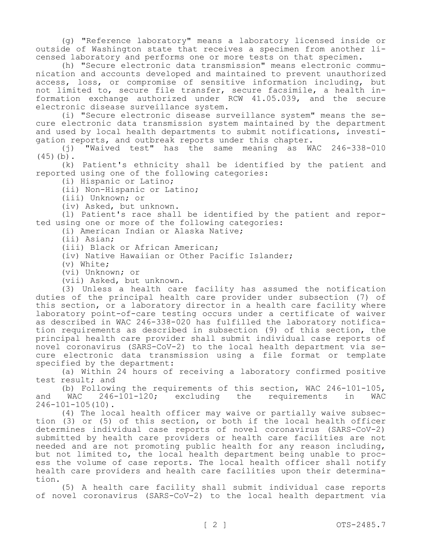(g) "Reference laboratory" means a laboratory licensed inside or outside of Washington state that receives a specimen from another licensed laboratory and performs one or more tests on that specimen.

(h) "Secure electronic data transmission" means electronic communication and accounts developed and maintained to prevent unauthorized access, loss, or compromise of sensitive information including, but not limited to, secure file transfer, secure facsimile, a health information exchange authorized under RCW 41.05.039, and the secure electronic disease surveillance system.

(i) "Secure electronic disease surveillance system" means the secure electronic data transmission system maintained by the department and used by local health departments to submit notifications, investi-

gation reports, and outbreak reports under this chapter.<br>(j) "Waived test" has the same meaning as W "Waived test" has the same meaning as WAC 246-338-010  $(45)(b)$ .

(k) Patient's ethnicity shall be identified by the patient and reported using one of the following categories:

(i) Hispanic or Latino;

(ii) Non-Hispanic or Latino;

(iii) Unknown; or

(iv) Asked, but unknown.

(l) Patient's race shall be identified by the patient and reported using one or more of the following categories:

(i) American Indian or Alaska Native;

(ii) Asian;

(iii) Black or African American;

(iv) Native Hawaiian or Other Pacific Islander;

(v) White;

(vi) Unknown; or

(vii) Asked, but unknown.

(3) Unless a health care facility has assumed the notification duties of the principal health care provider under subsection (7) of this section, or a laboratory director in a health care facility where laboratory point-of-care testing occurs under a certificate of waiver as described in WAC 246-338-020 has fulfilled the laboratory notification requirements as described in subsection (9) of this section, the principal health care provider shall submit individual case reports of novel coronavirus (SARS-CoV-2) to the local health department via secure electronic data transmission using a file format or template specified by the department:

(a) Within 24 hours of receiving a laboratory confirmed positive test result; and

(b) Following the requirements of this section, WAC 246-101-105,<br>WAC 246-101-120; excluding the requirements in WAC and WAC 246-101-120; excluding the requirements in WAC 246-101-105(10).

(4) The local health officer may waive or partially waive subsection (3) or (5) of this section, or both if the local health officer determines individual case reports of novel coronavirus (SARS-CoV-2) submitted by health care providers or health care facilities are not needed and are not promoting public health for any reason including, but not limited to, the local health department being unable to process the volume of case reports. The local health officer shall notify health care providers and health care facilities upon their determination.

(5) A health care facility shall submit individual case reports of novel coronavirus (SARS-CoV-2) to the local health department via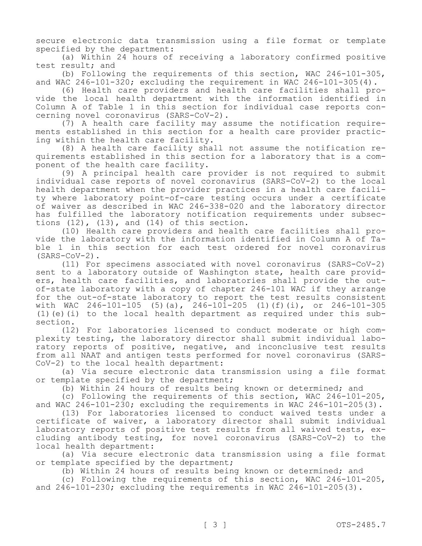secure electronic data transmission using a file format or template specified by the department:

(a) Within 24 hours of receiving a laboratory confirmed positive test result; and

(b) Following the requirements of this section, WAC 246-101-305, and WAC 246-101-320; excluding the requirement in WAC 246-101-305(4).

(6) Health care providers and health care facilities shall provide the local health department with the information identified in Column A of Table 1 in this section for individual case reports concerning novel coronavirus (SARS-CoV-2).

(7) A health care facility may assume the notification requirements established in this section for a health care provider practicing within the health care facility.

(8) A health care facility shall not assume the notification requirements established in this section for a laboratory that is a component of the health care facility.

(9) A principal health care provider is not required to submit individual case reports of novel coronavirus (SARS-CoV-2) to the local health department when the provider practices in a health care facility where laboratory point-of-care testing occurs under a certificate of waiver as described in WAC 246-338-020 and the laboratory director has fulfilled the laboratory notification requirements under subsections  $(12)$ ,  $(13)$ , and  $(14)$  of this section.

(10) Health care providers and health care facilities shall provide the laboratory with the information identified in Column A of Table 1 in this section for each test ordered for novel coronavirus (SARS-CoV-2).

(11) For specimens associated with novel coronavirus (SARS-CoV-2) sent to a laboratory outside of Washington state, health care providers, health care facilities, and laboratories shall provide the outof-state laboratory with a copy of chapter 246-101 WAC if they arrange for the out-of-state laboratory to report the test results consistent with WAC 246-101-105 (5)(a), 246-101-205 (1)(f)(i), or 246-101-305 (1)(e)(i) to the local health department as required under this subsection.

(12) For laboratories licensed to conduct moderate or high complexity testing, the laboratory director shall submit individual laboratory reports of positive, negative, and inconclusive test results from all NAAT and antigen tests performed for novel coronavirus (SARS-CoV-2) to the local health department:

(a) Via secure electronic data transmission using a file format or template specified by the department;

(b) Within 24 hours of results being known or determined; and

(c) Following the requirements of this section, WAC 246-101-205, and WAC 246-101-230; excluding the requirements in WAC 246-101-205(3).

(13) For laboratories licensed to conduct waived tests under a certificate of waiver, a laboratory director shall submit individual laboratory reports of positive test results from all waived tests, excluding antibody testing, for novel coronavirus (SARS-CoV-2) to the local health department:

(a) Via secure electronic data transmission using a file format or template specified by the department;

(b) Within 24 hours of results being known or determined; and

(c) Following the requirements of this section, WAC 246-101-205, and  $246-101-230$ ; excluding the requirements in WAC  $246-101-205(3)$ .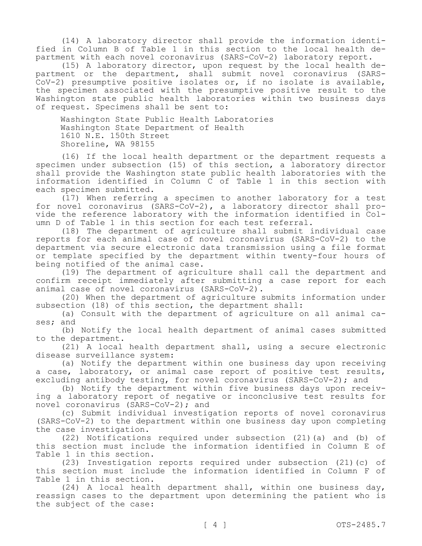(14) A laboratory director shall provide the information identified in Column B of Table 1 in this section to the local health department with each novel coronavirus (SARS-CoV-2) laboratory report.

(15) A laboratory director, upon request by the local health department or the department, shall submit novel coronavirus (SARS-CoV-2) presumptive positive isolates or, if no isolate is available, the specimen associated with the presumptive positive result to the Washington state public health laboratories within two business days of request. Specimens shall be sent to:

Washington State Public Health Laboratories Washington State Department of Health 1610 N.E. 150th Street Shoreline, WA 98155

(16) If the local health department or the department requests a specimen under subsection (15) of this section, a laboratory director shall provide the Washington state public health laboratories with the information identified in Column C of Table 1 in this section with each specimen submitted.

(17) When referring a specimen to another laboratory for a test for novel coronavirus (SARS-CoV-2), a laboratory director shall provide the reference laboratory with the information identified in Column D of Table 1 in this section for each test referral.

(18) The department of agriculture shall submit individual case reports for each animal case of novel coronavirus (SARS-CoV-2) to the department via secure electronic data transmission using a file format or template specified by the department within twenty-four hours of being notified of the animal case.

(19) The department of agriculture shall call the department and confirm receipt immediately after submitting a case report for each animal case of novel coronavirus (SARS-CoV-2).

(20) When the department of agriculture submits information under subsection (18) of this section, the department shall:

(a) Consult with the department of agriculture on all animal cases; and

(b) Notify the local health department of animal cases submitted to the department.

(21) A local health department shall, using a secure electronic disease surveillance system:

(a) Notify the department within one business day upon receiving a case, laboratory, or animal case report of positive test results, excluding antibody testing, for novel coronavirus (SARS-CoV-2); and

(b) Notify the department within five business days upon receiving a laboratory report of negative or inconclusive test results for novel coronavirus (SARS-CoV-2); and

(c) Submit individual investigation reports of novel coronavirus (SARS-CoV-2) to the department within one business day upon completing the case investigation.

(22) Notifications required under subsection (21)(a) and (b) of this section must include the information identified in Column E of Table 1 in this section.

(23) Investigation reports required under subsection (21)(c) of this section must include the information identified in Column F of Table 1 in this section.

(24) A local health department shall, within one business day, reassign cases to the department upon determining the patient who is the subject of the case: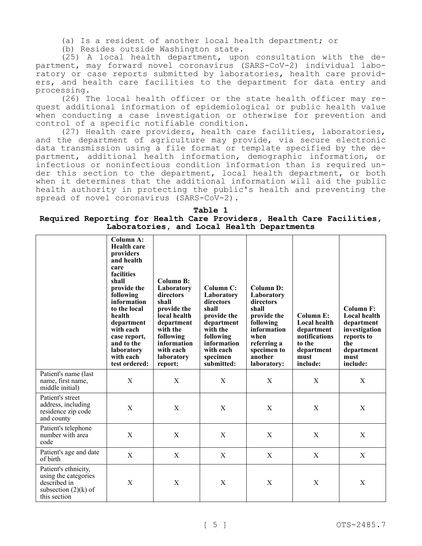(a) Is a resident of another local health department; or

(b) Resides outside Washington state.

(25) A local health department, upon consultation with the department, may forward novel coronavirus (SARS-CoV-2) individual laboratory or case reports submitted by laboratories, health care providers, and health care facilities to the department for data entry and processing.

(26) The local health officer or the state health officer may request additional information of epidemiological or public health value when conducting a case investigation or otherwise for prevention and control of a specific notifiable condition.

(27) Health care providers, health care facilities, laboratories, and the department of agriculture may provide, via secure electronic data transmission using a file format or template specified by the department, additional health information, demographic information, or infectious or noninfectious condition information than is required under this section to the department, local health department, or both when it determines that the additional information will aid the public health authority in protecting the public's health and preventing the spread of novel coronavirus (SARS-CoV-2).

#### **Table 1 Required Reporting for Health Care Providers, Health Care Facilities, Laboratories, and Local Health Departments**

|                                                                                                        | Column A:<br><b>Health care</b><br>providers<br>and health<br>care<br>facilities<br>shall<br>provide the<br>following<br>information<br>to the local<br>health<br>department<br>with each<br>case report,<br>and to the<br>laboratory<br>with each<br>test ordered: | Column B:<br>Laboratory<br>directors<br>shall<br>provide the<br>local health<br>department<br>with the<br>following<br>information<br>with each<br>laboratory<br>report: | Column C:<br>Laboratory<br>directors<br>shall<br>provide the<br>department<br>with the<br>following<br>information<br>with each<br>specimen<br>submitted: | Column D:<br>Laboratory<br>directors<br>shall<br>provide the<br>following<br>information<br>when<br>referring a<br>specimen to<br>another<br>laboratory: | Column E:<br>Local health<br>department<br>notifications<br>to the<br>department<br>must<br>include: | Column F:<br>Local health<br>department<br>investigation<br>reports to<br>the<br>department<br>must<br>include: |
|--------------------------------------------------------------------------------------------------------|---------------------------------------------------------------------------------------------------------------------------------------------------------------------------------------------------------------------------------------------------------------------|--------------------------------------------------------------------------------------------------------------------------------------------------------------------------|-----------------------------------------------------------------------------------------------------------------------------------------------------------|----------------------------------------------------------------------------------------------------------------------------------------------------------|------------------------------------------------------------------------------------------------------|-----------------------------------------------------------------------------------------------------------------|
| Patient's name (last)<br>name, first name,<br>middle initial)                                          | $\mathbf X$                                                                                                                                                                                                                                                         | $\mathbf X$                                                                                                                                                              | $\mathbf X$                                                                                                                                               | X                                                                                                                                                        | $\mathbf X$                                                                                          | X                                                                                                               |
| Patient's street<br>address, including<br>residence zip code<br>and county                             | $\mathbf X$                                                                                                                                                                                                                                                         | $\boldsymbol{\mathrm{X}}$                                                                                                                                                | $\boldsymbol{\mathrm{X}}$                                                                                                                                 | X                                                                                                                                                        | $\mathbf X$                                                                                          | $\mathbf X$                                                                                                     |
| Patient's telephone<br>number with area<br>code                                                        | $\mathbf X$                                                                                                                                                                                                                                                         | $\mathbf X$                                                                                                                                                              | $\mathbf X$                                                                                                                                               | $\mathbf X$                                                                                                                                              | $\mathbf X$                                                                                          | $\boldsymbol{\mathrm{X}}$                                                                                       |
| Patient's age and date<br>of birth                                                                     | $\mathbf X$                                                                                                                                                                                                                                                         | $\mathbf X$                                                                                                                                                              | $\mathbf X$                                                                                                                                               | $\mathbf X$                                                                                                                                              | $\mathbf X$                                                                                          | X                                                                                                               |
| Patient's ethnicity,<br>using the categories<br>described in<br>subsection $(2)(k)$ of<br>this section | X                                                                                                                                                                                                                                                                   | $\mathbf X$                                                                                                                                                              | $\mathbf X$                                                                                                                                               | X                                                                                                                                                        | X                                                                                                    | X                                                                                                               |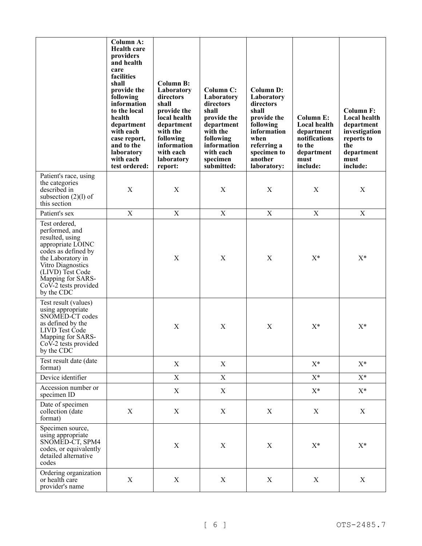|                                                                                                                                                                                                                         | Column A:<br><b>Health care</b><br>providers<br>and health<br>care<br>facilities<br>shall<br>provide the<br>following<br>information<br>to the local<br>health<br>department<br>with each<br>case report,<br>and to the<br>laboratory<br>with each<br>test ordered: | <b>Column B:</b><br>Laboratory<br>directors<br>shall<br>provide the<br>local health<br>department<br>with the<br>following<br>information<br>with each<br>laboratory<br>report: | <b>Column C:</b><br>Laboratory<br>directors<br>shall<br>provide the<br>department<br>with the<br>following<br>information<br>with each<br>specimen<br>submitted: | <b>Column D:</b><br>Laboratory<br>directors<br>shall<br>provide the<br>following<br>information<br>when<br>referring a<br>specimen to<br>another<br>laboratory: | Column E:<br>Local health<br>department<br>notifications<br>to the<br>department<br>must<br>include: | <b>Column F:</b><br>Local health<br>department<br>investigation<br>reports to<br>the<br>department<br>must<br>include: |
|-------------------------------------------------------------------------------------------------------------------------------------------------------------------------------------------------------------------------|---------------------------------------------------------------------------------------------------------------------------------------------------------------------------------------------------------------------------------------------------------------------|---------------------------------------------------------------------------------------------------------------------------------------------------------------------------------|------------------------------------------------------------------------------------------------------------------------------------------------------------------|-----------------------------------------------------------------------------------------------------------------------------------------------------------------|------------------------------------------------------------------------------------------------------|------------------------------------------------------------------------------------------------------------------------|
| Patient's race, using<br>the categories<br>described in<br>subsection $(2)(l)$ of<br>this section                                                                                                                       | $\mathbf X$                                                                                                                                                                                                                                                         | $\mathbf X$                                                                                                                                                                     | X                                                                                                                                                                | X                                                                                                                                                               | $\mathbf X$                                                                                          | $\mathbf X$                                                                                                            |
| Patient's sex                                                                                                                                                                                                           | $\mathbf X$                                                                                                                                                                                                                                                         | $\mathbf X$                                                                                                                                                                     | $\mathbf X$                                                                                                                                                      | $\mathbf X$                                                                                                                                                     | $\mathbf X$                                                                                          | $\mathbf X$                                                                                                            |
| Test ordered,<br>performed, and<br>resulted, using<br>appropriate LOINC<br>codes as defined by<br>the Laboratory in<br>Vitro Diagnostics<br>(LIVD) Test Code<br>Mapping for SARS-<br>CoV-2 tests provided<br>by the CDC |                                                                                                                                                                                                                                                                     | $\mathbf X$                                                                                                                                                                     | $\mathbf X$                                                                                                                                                      | $\mathbf X$                                                                                                                                                     | $X^*$                                                                                                | $X^*$                                                                                                                  |
| Test result (values)<br>using appropriate<br>SNOMED-CT codes<br>as defined by the<br>LIVD Test Code<br>Mapping for SARS-<br>CoV-2 tests provided<br>by the CDC                                                          |                                                                                                                                                                                                                                                                     | $\boldsymbol{\mathrm{X}}$                                                                                                                                                       | $\mathbf X$                                                                                                                                                      | $\boldsymbol{\mathrm{X}}$                                                                                                                                       | $X^*$                                                                                                | $X^*$                                                                                                                  |
| Test result date (date<br>format)                                                                                                                                                                                       |                                                                                                                                                                                                                                                                     | X                                                                                                                                                                               | X                                                                                                                                                                |                                                                                                                                                                 | $X^*$                                                                                                | $X^*$                                                                                                                  |
| Device identifier                                                                                                                                                                                                       |                                                                                                                                                                                                                                                                     | $\mathbf X$                                                                                                                                                                     | X                                                                                                                                                                |                                                                                                                                                                 | $X^*$                                                                                                | $X^*$                                                                                                                  |
| Accession number or<br>specimen ID                                                                                                                                                                                      |                                                                                                                                                                                                                                                                     | X                                                                                                                                                                               | X                                                                                                                                                                |                                                                                                                                                                 | $X^*$                                                                                                | $X^*$                                                                                                                  |
| Date of specimen<br>collection (date<br>format)                                                                                                                                                                         | $\mathbf X$                                                                                                                                                                                                                                                         | $\mathbf X$                                                                                                                                                                     | $\mathbf X$                                                                                                                                                      | $\mathbf X$                                                                                                                                                     | $\mathbf X$                                                                                          | $\mathbf X$                                                                                                            |
| Specimen source,<br>using appropriate<br>SNOMED-CT, SPM4<br>codes, or equivalently<br>detailed alternative<br>codes                                                                                                     |                                                                                                                                                                                                                                                                     | $\mathbf X$                                                                                                                                                                     | $\mathbf X$                                                                                                                                                      | $\mathbf X$                                                                                                                                                     | $\mathbf{X}^*$                                                                                       | $\mathbf{X}^*$                                                                                                         |
| Ordering organization<br>or health care<br>provider's name                                                                                                                                                              | $\mathbf X$                                                                                                                                                                                                                                                         | $\mathbf X$                                                                                                                                                                     | X                                                                                                                                                                | $\mathbf X$                                                                                                                                                     | $\mathbf X$                                                                                          | $\mathbf X$                                                                                                            |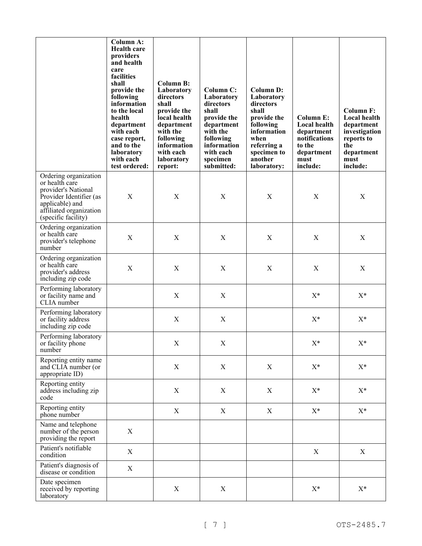|                                                                                                                                                                | <b>Column A:</b><br><b>Health care</b><br>providers<br>and health<br>care<br>facilities<br>shall<br>provide the<br>following<br>information<br>to the local<br>health<br>department<br>with each<br>case report,<br>and to the<br>laboratory<br>with each<br>test ordered: | Column B:<br>Laboratory<br>directors<br>shall<br>provide the<br>local health<br>department<br>with the<br>following<br>information<br>with each<br>laboratory<br>report: | Column C:<br>Laboratory<br>directors<br>shall<br>provide the<br>department<br>with the<br>following<br>information<br>with each<br>specimen<br>submitted: | <b>Column D:</b><br>Laboratory<br>directors<br>shall<br>provide the<br>following<br>information<br>when<br>referring a<br>specimen to<br>another<br>laboratory: | <b>Column E:</b><br><b>Local health</b><br>department<br>notifications<br>to the<br>department<br>must<br>include: | Column F:<br><b>Local health</b><br>department<br>investigation<br>reports to<br>the<br>department<br>must<br>include: |
|----------------------------------------------------------------------------------------------------------------------------------------------------------------|----------------------------------------------------------------------------------------------------------------------------------------------------------------------------------------------------------------------------------------------------------------------------|--------------------------------------------------------------------------------------------------------------------------------------------------------------------------|-----------------------------------------------------------------------------------------------------------------------------------------------------------|-----------------------------------------------------------------------------------------------------------------------------------------------------------------|--------------------------------------------------------------------------------------------------------------------|------------------------------------------------------------------------------------------------------------------------|
| Ordering organization<br>or health care<br>provider's National<br>Provider Identifier (as<br>applicable) and<br>affiliated organization<br>(specific facility) | $\mathbf X$                                                                                                                                                                                                                                                                | X                                                                                                                                                                        | X                                                                                                                                                         | X                                                                                                                                                               | X                                                                                                                  | X                                                                                                                      |
| Ordering organization<br>or health care<br>provider's telephone<br>number                                                                                      | $\mathbf X$                                                                                                                                                                                                                                                                | X                                                                                                                                                                        | X                                                                                                                                                         | $\mathbf X$                                                                                                                                                     | $\boldsymbol{\mathrm{X}}$                                                                                          | $\mathbf X$                                                                                                            |
| Ordering organization<br>or health care<br>provider's address<br>including zip code                                                                            | $\mathbf X$                                                                                                                                                                                                                                                                | X                                                                                                                                                                        | $\mathbf X$                                                                                                                                               | $\mathbf X$                                                                                                                                                     | $\mathbf X$                                                                                                        | $\mathbf X$                                                                                                            |
| Performing laboratory<br>or facility name and<br>CLIA number                                                                                                   |                                                                                                                                                                                                                                                                            | $\mathbf X$                                                                                                                                                              | X                                                                                                                                                         |                                                                                                                                                                 | $X^*$                                                                                                              | $X^*$                                                                                                                  |
| Performing laboratory<br>or facility address<br>including zip code                                                                                             |                                                                                                                                                                                                                                                                            | $\mathbf X$                                                                                                                                                              | $\mathbf X$                                                                                                                                               |                                                                                                                                                                 | $X^*$                                                                                                              | $X^*$                                                                                                                  |
| Performing laboratory<br>or facility phone<br>number                                                                                                           |                                                                                                                                                                                                                                                                            | $\mathbf X$                                                                                                                                                              | $\mathbf X$                                                                                                                                               |                                                                                                                                                                 | $X^*$                                                                                                              | $\mathbf{X}^*$                                                                                                         |
| Reporting entity name<br>and CLIA number (or<br>appropriate ID)                                                                                                |                                                                                                                                                                                                                                                                            | $\mathbf X$                                                                                                                                                              | X                                                                                                                                                         | X                                                                                                                                                               | $X^*$                                                                                                              | $X^*$                                                                                                                  |
| Reporting entity<br>address including zip<br>code                                                                                                              |                                                                                                                                                                                                                                                                            | $\mathbf X$                                                                                                                                                              | X                                                                                                                                                         | X                                                                                                                                                               | $X^*$                                                                                                              | $X^*$                                                                                                                  |
| Reporting entity<br>phone number                                                                                                                               |                                                                                                                                                                                                                                                                            | $\mathbf X$                                                                                                                                                              | $\mathbf X$                                                                                                                                               | $\boldsymbol{\mathrm{X}}$                                                                                                                                       | $\mathbf{X}^*$                                                                                                     | $\mathbf{X}^*$                                                                                                         |
| Name and telephone<br>number of the person<br>providing the report                                                                                             | $\mathbf X$                                                                                                                                                                                                                                                                |                                                                                                                                                                          |                                                                                                                                                           |                                                                                                                                                                 |                                                                                                                    |                                                                                                                        |
| Patient's notifiable<br>condition                                                                                                                              | $\mathbf X$                                                                                                                                                                                                                                                                |                                                                                                                                                                          |                                                                                                                                                           |                                                                                                                                                                 | $\mathbf X$                                                                                                        | X                                                                                                                      |
| Patient's diagnosis of<br>disease or condition                                                                                                                 | $\mathbf X$                                                                                                                                                                                                                                                                |                                                                                                                                                                          |                                                                                                                                                           |                                                                                                                                                                 |                                                                                                                    |                                                                                                                        |
| Date specimen<br>received by reporting<br>laboratory                                                                                                           |                                                                                                                                                                                                                                                                            | $\mathbf X$                                                                                                                                                              | $\mathbf X$                                                                                                                                               |                                                                                                                                                                 | $X^*$                                                                                                              | $X^*$                                                                                                                  |